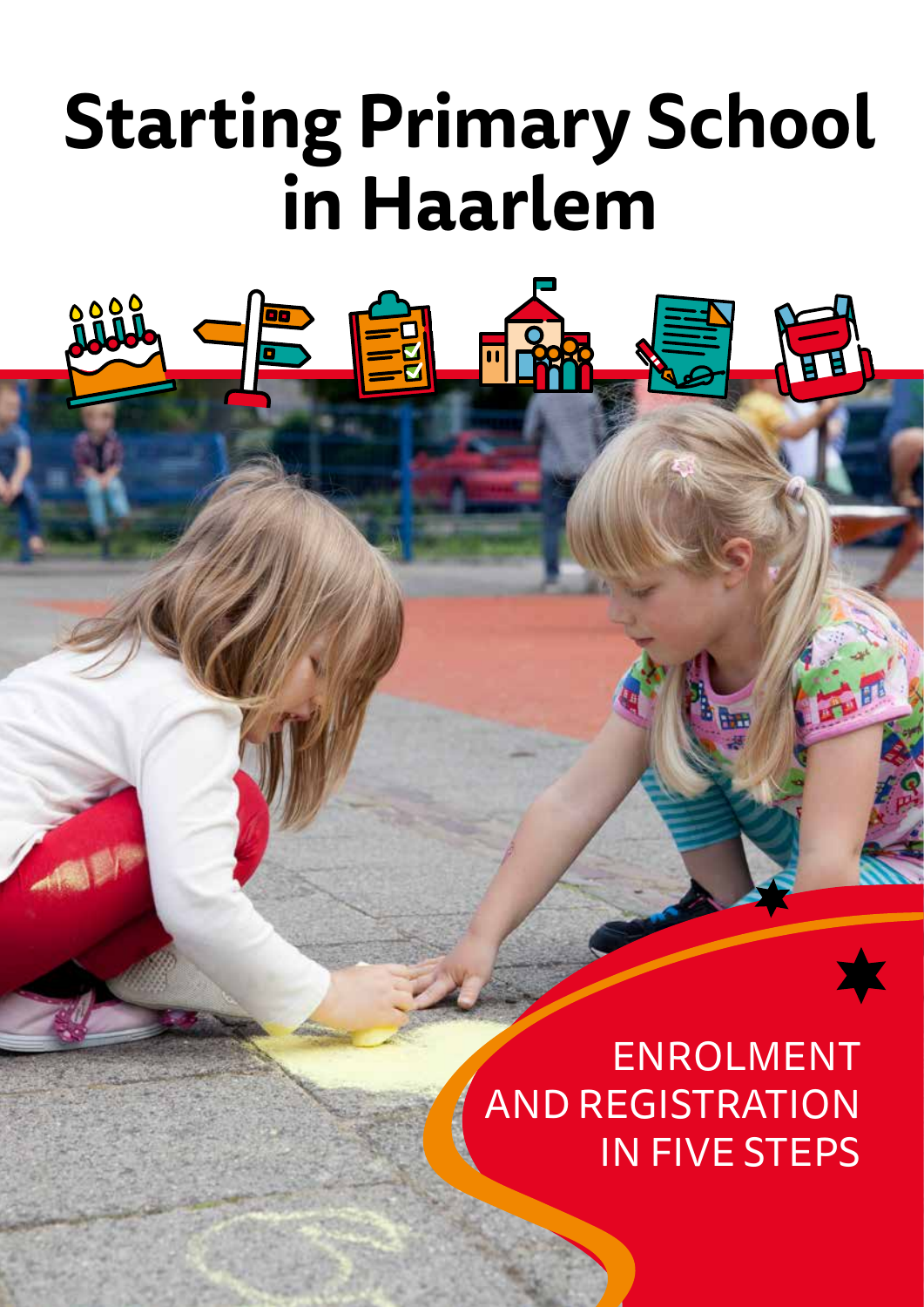# **Starting Primary School in Haarlem**

**FILERRE** 

一日

**DELLE** 

ENROLMENT AND REGISTRATION IN FIVE STEPS

**REB**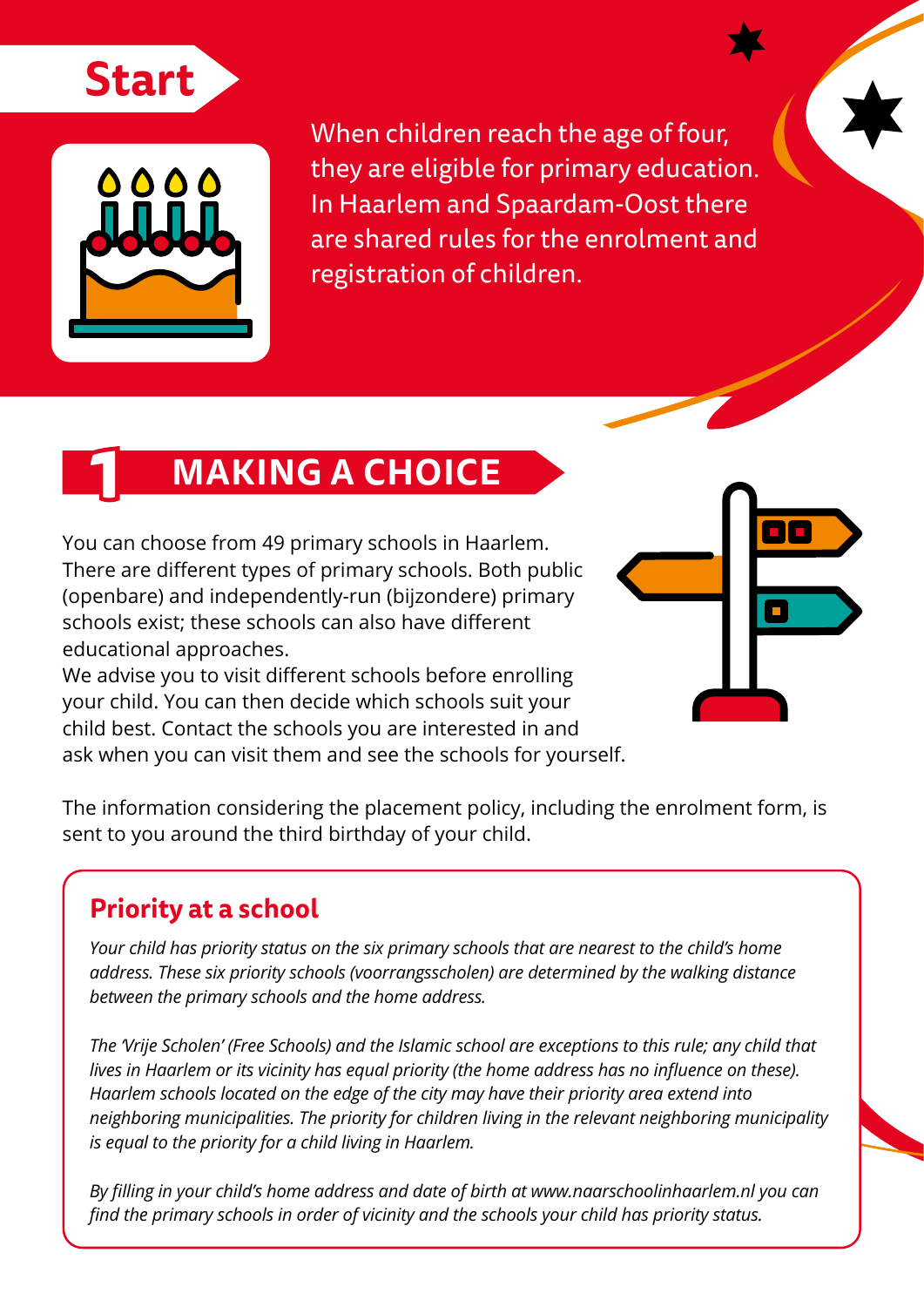



When children reach the age of four, they are eligible for primary education. In Haarlem and Spaardam-Oost there are shared rules for the enrolment and registration of children.

## **MAKING A CHOICE**

You can choose from 49 primary schools in Haarlem. There are different types of primary schools. Both public (openbare) and independently-run (bijzondere) primary schools exist: these schools can also have different educational approaches.

We advise you to visit different schools before enrolling your child. You can then decide which schools suit your child best. Contact the schools you are interested in and ask when you can visit them and see the schools for yourself.



The information considering the placement policy, including the enrolment form, is sent to you around the third birthday of your child.

#### **Priority at a school**

*Your child has priority status on the six primary schools that are nearest to the child's home address. These six priority schools (voorrangsscholen) are determined by the walking distance between the primary schools and the home address.*

*The 'Vrije Scholen' (Free Schools) and the Islamic school are exceptions to this rule; any child that lives in Haarlem or its vicinity has equal priority (the home address has no influence on these). Haarlem schools located on the edge of the city may have their priority area extend into neighboring municipalities. The priority for children living in the relevant neighboring municipality is equal to the priority for a child living in Haarlem.*

By filling in your child's home address and date of birth at www.naarschoolinhaarlem.nl you can *find the primary schools in order of vicinity and the schools your child has priority status.*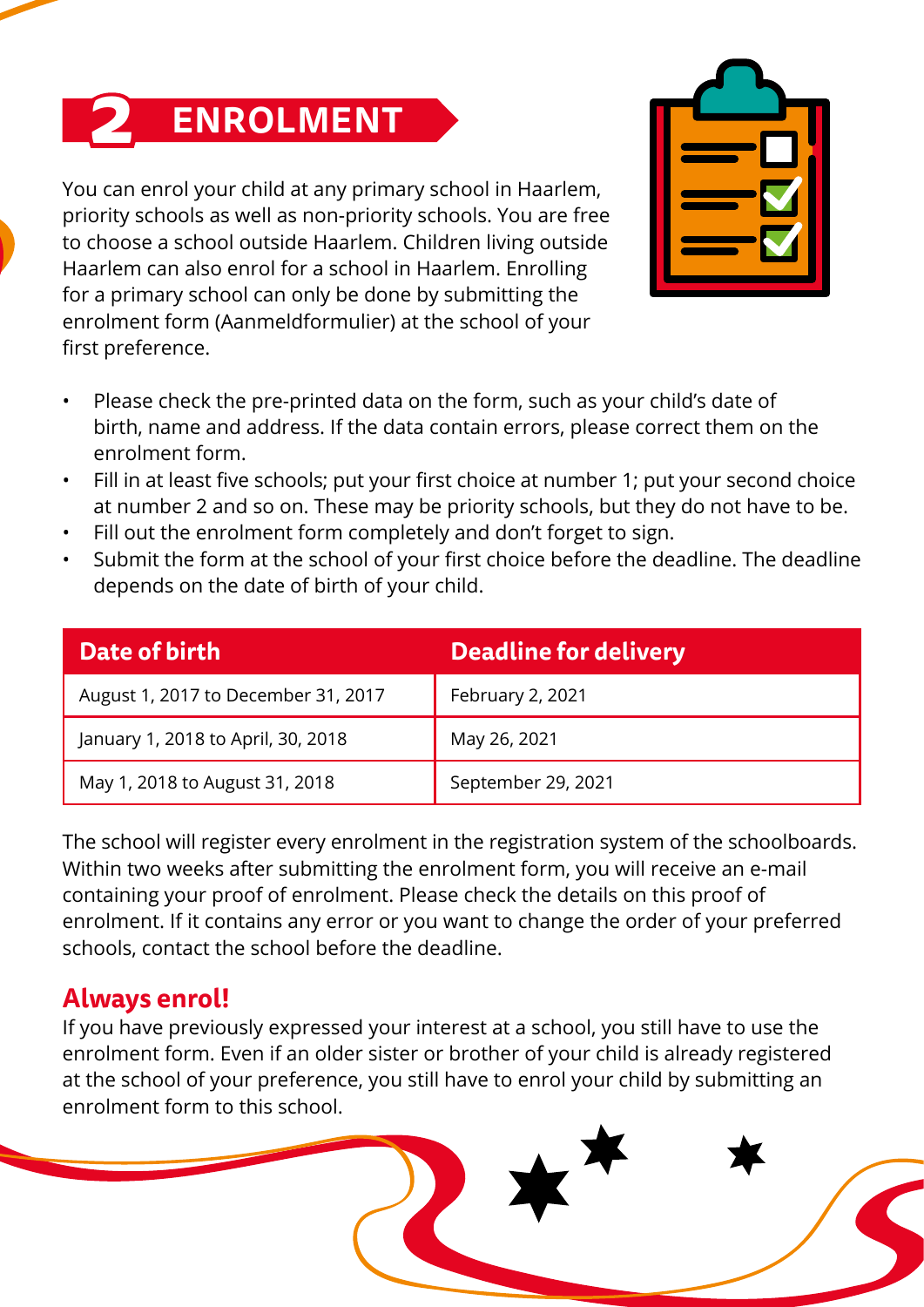# **2 ENROLMENT**

You can enrol your child at any primary school in Haarlem, priority schools as well as non-priority schools. You are free to choose a school outside Haarlem. Children living outside Haarlem can also enrol for a school in Haarlem. Enrolling for a primary school can only be done by submitting the enrolment form (Aanmeldformulier) at the school of your first preference.



- Please check the pre-printed data on the form, such as your child's date of birth, name and address. If the data contain errors, please correct them on the enrolment form.
- Fill in at least five schools; put your first choice at number 1; put your second choice at number 2 and so on. These may be priority schools, but they do not have to be.
- Fill out the enrolment form completely and don't forget to sign.
- Submit the form at the school of your first choice before the deadline. The deadline depends on the date of birth of your child.

| Date of birth                       | <b>Deadline for delivery</b> |
|-------------------------------------|------------------------------|
| August 1, 2017 to December 31, 2017 | February 2, 2021             |
| January 1, 2018 to April, 30, 2018  | May 26, 2021                 |
| May 1, 2018 to August 31, 2018      | September 29, 2021           |

The school will register every enrolment in the registration system of the schoolboards. Within two weeks after submitting the enrolment form, you will receive an e-mail containing your proof of enrolment. Please check the details on this proof of enrolment. If it contains any error or you want to change the order of your preferred schools, contact the school before the deadline.

#### **Always enrol!**

If you have previously expressed your interest at a school, you still have to use the enrolment form. Even if an older sister or brother of your child is already registered at the school of your preference, you still have to enrol your child by submitting an enrolment form to this school.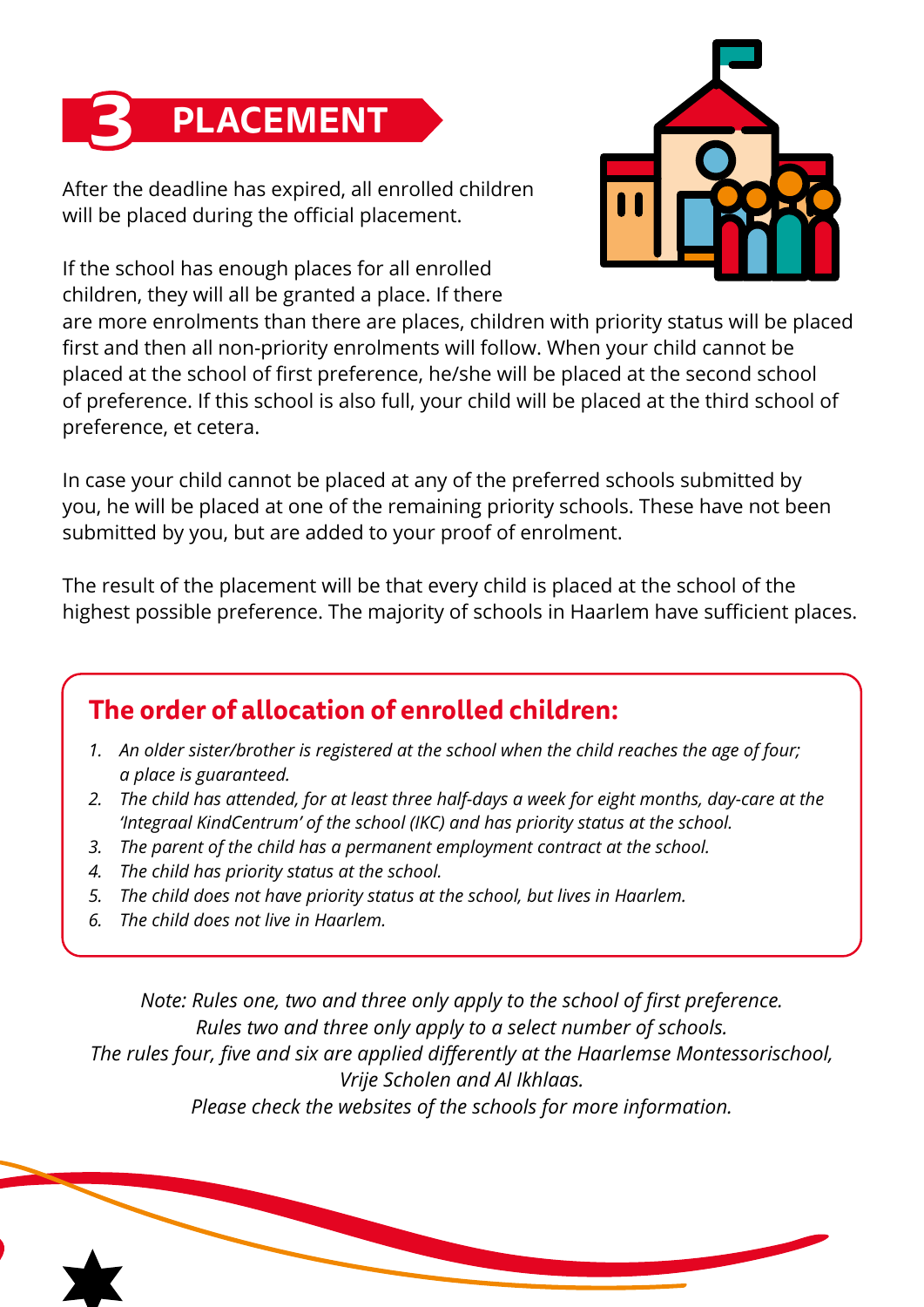

After the deadline has expired, all enrolled children will be placed during the official placement.

If the school has enough places for all enrolled children, they will all be granted a place. If there



are more enrolments than there are places, children with priority status will be placed first and then all non-priority enrolments will follow. When your child cannot be placed at the school of first preference, he/she will be placed at the second school of preference. If this school is also full, your child will be placed at the third school of preference, et cetera.

In case your child cannot be placed at any of the preferred schools submitted by you, he will be placed at one of the remaining priority schools. These have not been submitted by you, but are added to your proof of enrolment.

The result of the placement will be that every child is placed at the school of the highest possible preference. The majority of schools in Haarlem have sufficient places.

#### **The order of allocation of enrolled children:**

- *1. An older sister/brother is registered at the school when the child reaches the age of four; a place is guaranteed.*
- *2. The child has attended, for at least three half-days a week for eight months, day-care at the 'Integraal KindCentrum' of the school (IKC) and has priority status at the school.*
- *3. The parent of the child has a permanent employment contract at the school.*
- *4. The child has priority status at the school.*
- *5. The child does not have priority status at the school, but lives in Haarlem.*
- *6. The child does not live in Haarlem.*

*Note: Rules one, two and three only apply to the school of first preference. Rules two and three only apply to a select number of schools. The rules four, five and six are applied differently at the Haarlemse Montessorischool, Vrije Scholen and Al Ikhlaas. Please check the websites of the schools for more information.*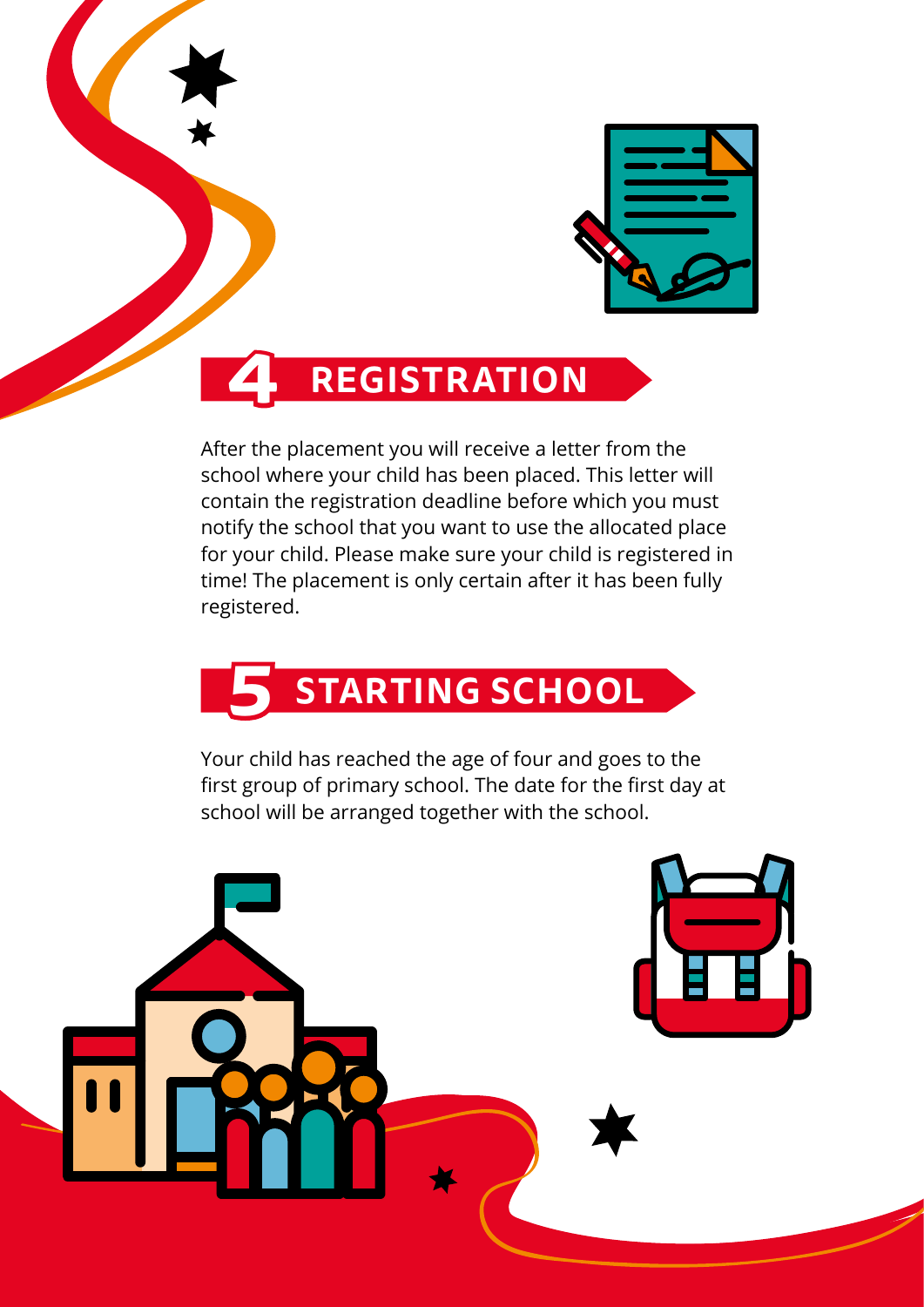



### **4 REGISTRATION**

After the placement you will receive a letter from the school where your child has been placed. This letter will contain the registration deadline before which you must notify the school that you want to use the allocated place for your child. Please make sure your child is registered in time! The placement is only certain after it has been fully registered.



Your child has reached the age of four and goes to the first group of primary school. The date for the first day at school will be arranged together with the school.